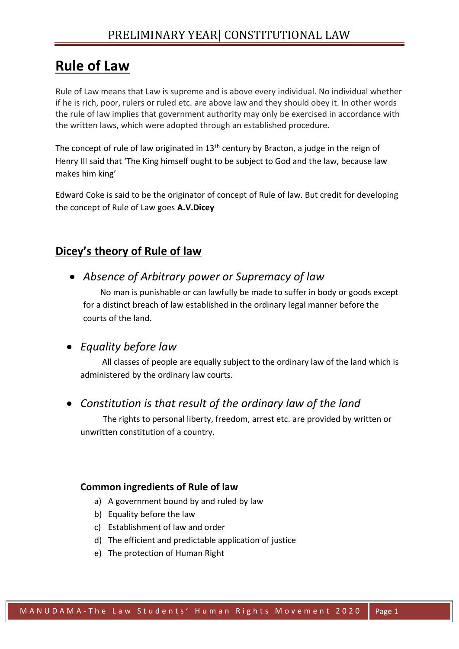# **Rule of Law**

Rule of Law means that Law is supreme and is above every individual. No individual whether if he is rich, poor, rulers or ruled etc. are above law and they should obey it. In other words the rule of law implies that government authority may only be exercised in accordance with the written laws, which were adopted through an established procedure.

The concept of rule of law originated in  $13<sup>th</sup>$  century by Bracton, a judge in the reign of Henry III said that 'The King himself ought to be subject to God and the law, because law makes him king'

Edward Coke is said to be the originator of concept of Rule of law. But credit for developing the concept of Rule of Law goes **A.V.Dicey**

## **Dicey's theory of Rule of law**

• *Absence of Arbitrary power or Supremacy of law*

 No man is punishable or can lawfully be made to suffer in body or goods except for a distinct breach of law established in the ordinary legal manner before the courts of the land.

#### • *Equality before law*

 All classes of people are equally subject to the ordinary law of the land which is administered by the ordinary law courts.

#### • *Constitution is that result of the ordinary law of the land*

 The rights to personal liberty, freedom, arrest etc. are provided by written or unwritten constitution of a country.

#### **Common ingredients of Rule of law**

- a) A government bound by and ruled by law
- b) Equality before the law
- c) Establishment of law and order
- d) The efficient and predictable application of justice
- e) The protection of Human Right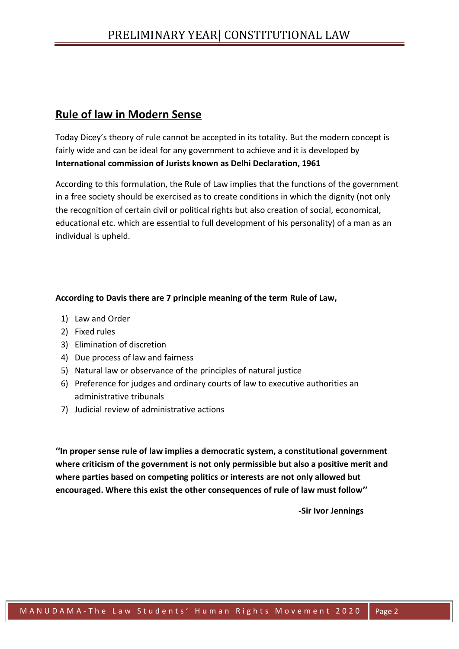## **Rule of law in Modern Sense**

Today Dicey's theory of rule cannot be accepted in its totality. But the modern concept is fairly wide and can be ideal for any government to achieve and it is developed by **International commission of Jurists known as Delhi Declaration, 1961**

According to this formulation, the Rule of Law implies that the functions of the government in a free society should be exercised as to create conditions in which the dignity (not only the recognition of certain civil or political rights but also creation of social, economical, educational etc. which are essential to full development of his personality) of a man as an individual is upheld.

#### **According to Davis there are 7 principle meaning of the term Rule of Law,**

- 1) Law and Order
- 2) Fixed rules
- 3) Elimination of discretion
- 4) Due process of law and fairness
- 5) Natural law or observance of the principles of natural justice
- 6) Preference for judges and ordinary courts of law to executive authorities an administrative tribunals
- 7) Judicial review of administrative actions

**''In proper sense rule of law implies a democratic system, a constitutional government where criticism of the government is not only permissible but also a positive merit and where parties based on competing politics or interests are not only allowed but encouraged. Where this exist the other consequences of rule of law must follow''**

**-Sir Ivor Jennings**